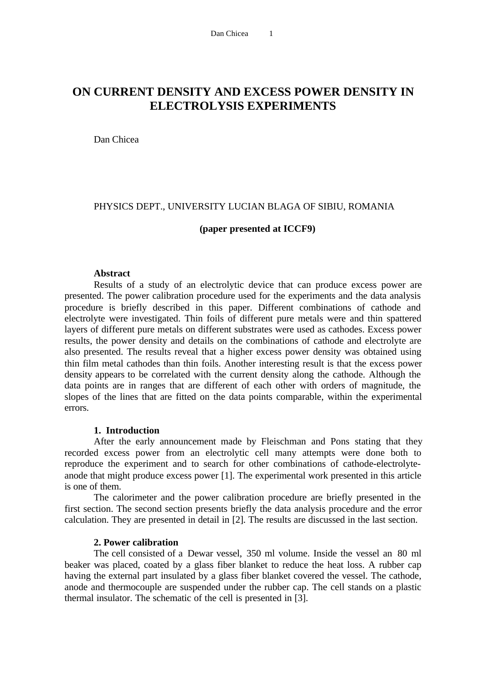# **ON CURRENT DENSITY AND EXCESS POWER DENSITY IN ELECTROLYSIS EXPERIMENTS**

Dan Chicea

### PHYSICS DEPT., UNIVERSITY LUCIAN BLAGA OF SIBIU, ROMANIA

### **(paper presented at ICCF9)**

### **Abstract**

Results of a study of an electrolytic device that can produce excess power are presented. The power calibration procedure used for the experiments and the data analysis procedure is briefly described in this paper. Different combinations of cathode and electrolyte were investigated. Thin foils of different pure metals were and thin spattered layers of different pure metals on different substrates were used as cathodes. Excess power results, the power density and details on the combinations of cathode and electrolyte are also presented. The results reveal that a higher excess power density was obtained using thin film metal cathodes than thin foils. Another interesting result is that the excess power density appears to be correlated with the current density along the cathode. Although the data points are in ranges that are different of each other with orders of magnitude, the slopes of the lines that are fitted on the data points comparable, within the experimental errors.

# **1. Introduction**

After the early announcement made by Fleischman and Pons stating that they recorded excess power from an electrolytic cell many attempts were done both to reproduce the experiment and to search for other combinations of cathode-electrolyteanode that might produce excess power [1]. The experimental work presented in this article is one of them.

The calorimeter and the power calibration procedure are briefly presented in the first section. The second section presents briefly the data analysis procedure and the error calculation. They are presented in detail in [2]. The results are discussed in the last section.

### **2. Power calibration**

The cell consisted of a Dewar vessel, 350 ml volume. Inside the vessel an 80 ml beaker was placed, coated by a glass fiber blanket to reduce the heat loss. A rubber cap having the external part insulated by a glass fiber blanket covered the vessel. The cathode, anode and thermocouple are suspended under the rubber cap. The cell stands on a plastic thermal insulator. The schematic of the cell is presented in [3].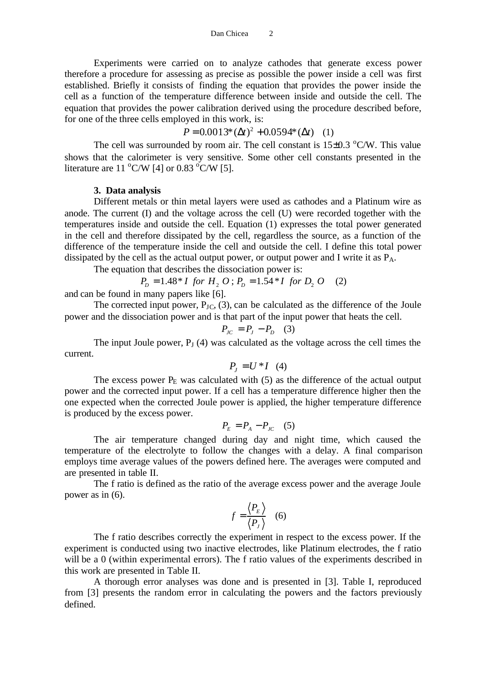Experiments were carried on to analyze cathodes that generate excess power therefore a procedure for assessing as precise as possible the power inside a cell was first established. Briefly it consists of finding the equation that provides the power inside the cell as a function of the temperature difference between inside and outside the cell. The equation that provides the power calibration derived using the procedure described before, for one of the three cells employed in this work, is:

# $P = 0.0013^*(\Delta t)^2 + 0.0594^*(\Delta t)$  (1)

The cell was surrounded by room air. The cell constant is  $15\pm0.3$  °C/W. This value shows that the calorimeter is very sensitive. Some other cell constants presented in the literature are 11  $\mathrm{C/W}$  [4] or 0.83  $\mathrm{C/W}$  [5].

### **3. Data analysis**

Different metals or thin metal layers were used as cathodes and a Platinum wire as anode. The current (I) and the voltage across the cell (U) were recorded together with the temperatures inside and outside the cell. Equation (1) expresses the total power generated in the cell and therefore dissipated by the cell, regardless the source, as a function of the difference of the temperature inside the cell and outside the cell. I define this total power dissipated by the cell as the actual output power, or output power and I write it as  $P_A$ .

The equation that describes the dissociation power is:

$$
P_D = 1.48 \times I \text{ for } H_2 O \text{ ; } P_D = 1.54 \times I \text{ for } D_2 O \quad (2)
$$

and can be found in many papers like [6].

The corrected input power,  $P_{JC}$ , (3), can be calculated as the difference of the Joule power and the dissociation power and is that part of the input power that heats the cell.

$$
P_{JC} = P_J - P_D \quad (3)
$$

The input Joule power,  $P<sub>J</sub>$  (4) was calculated as the voltage across the cell times the current.

$$
P_J = U^*I \quad (4)
$$

The excess power  $P<sub>E</sub>$  was calculated with (5) as the difference of the actual output power and the corrected input power. If a cell has a temperature difference higher then the one expected when the corrected Joule power is applied, the higher temperature difference is produced by the excess power.

$$
P_E = P_A - P_{JC} \quad (5)
$$

The air temperature changed during day and night time, which caused the temperature of the electrolyte to follow the changes with a delay. A final comparison employs time average values of the powers defined here. The averages were computed and are presented in table II.

The f ratio is defined as the ratio of the average excess power and the average Joule power as in (6).

$$
f = \frac{\langle P_E \rangle}{\langle P_J \rangle} \quad (6)
$$

The f ratio describes correctly the experiment in respect to the excess power. If the experiment is conducted using two inactive electrodes, like Platinum electrodes, the f ratio will be a 0 (within experimental errors). The f ratio values of the experiments described in this work are presented in Table II.

A thorough error analyses was done and is presented in [3]. Table I, reproduced from [3] presents the random error in calculating the powers and the factors previously defined.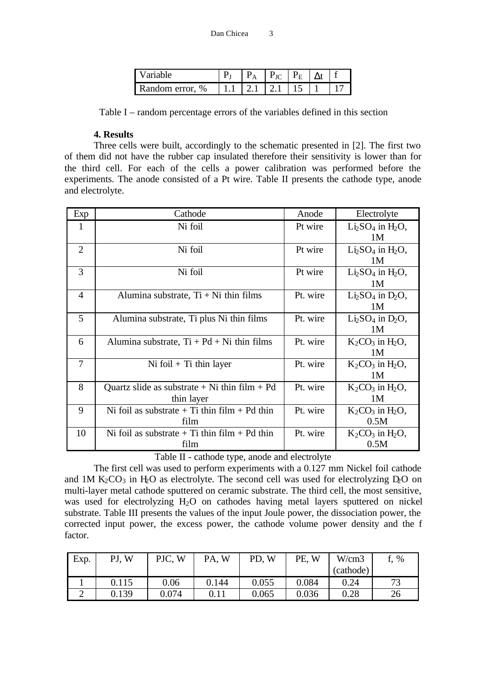| $7$ ariable     |        | $P_{\rm JC}$ $P_{\rm E}$ |            |  |
|-----------------|--------|--------------------------|------------|--|
| Random error, % | 121121 |                          | $\vert$ 15 |  |

Table I – random percentage errors of the variables defined in this section

# **4. Results**

Three cells were built, accordingly to the schematic presented in [2]. The first two of them did not have the rubber cap insulated therefore their sensitivity is lower than for the third cell. For each of the cells a power calibration was performed before the experiments. The anode consisted of a Pt wire. Table II presents the cathode type, anode and electrolyte.

| Exp            | Cathode                                           | Anode    | Electrolyte                         |
|----------------|---------------------------------------------------|----------|-------------------------------------|
| 1              | Ni foil                                           | Pt wire  | $Li2SO4$ in $H2O$ ,                 |
|                |                                                   |          | 1M                                  |
| $\overline{2}$ | Ni foil                                           | Pt wire  | $Li2SO4$ in H <sub>2</sub> O,<br>1M |
| 3              | Ni foil                                           | Pt wire  | $Li2SO4$ in H <sub>2</sub> O,       |
|                |                                                   |          | 1M                                  |
| $\overline{4}$ | Alumina substrate, $Ti + Ni$ thin films           | Pt. wire | $Li2SO4$ in $D2O$ ,                 |
|                |                                                   |          | 1M                                  |
| 5              | Alumina substrate, Ti plus Ni thin films          | Pt. wire | $Li2SO4$ in $D2O$ ,                 |
|                |                                                   |          | 1M                                  |
| 6              | Alumina substrate, $Ti + Pd + Ni$ thin films      | Pt. wire | $K_2CO_3$ in $H_2O$ ,               |
|                |                                                   |          | 1M                                  |
| 7              | Ni foil + Ti thin layer                           | Pt. wire | $K_2CO_3$ in $H_2O$ ,               |
|                |                                                   |          | 1 <sub>M</sub>                      |
| 8              | Quartz slide as substrate $+$ Ni thin film $+$ Pd | Pt. wire | $K_2CO_3$ in H <sub>2</sub> O,      |
|                | thin layer                                        |          | 1 <sub>M</sub>                      |
| 9              | Ni foil as substrate $+$ Ti thin film $+$ Pd thin | Pt. wire | $K_2CO_3$ in $H_2O$ ,               |
|                | film                                              |          | 0.5M                                |
| 10             | Ni foil as substrate $+ Ti$ thin film $+ Pd$ thin | Pt. wire | $K_2CO_3$ in $H_2O$ ,               |
|                | film                                              |          | 0.5M                                |

Table II - cathode type, anode and electrolyte

The first cell was used to perform experiments with a 0.127 mm Nickel foil cathode and 1M  $K_2CO_3$  in H<sub>2</sub>O as electrolyte. The second cell was used for electrolyzing D<sub>2</sub>O on multi-layer metal cathode sputtered on ceramic substrate. The third cell, the most sensitive, was used for electrolyzing H<sub>2</sub>O on cathodes having metal layers sputtered on nickel substrate. Table III presents the values of the input Joule power, the dissociation power, the corrected input power, the excess power, the cathode volume power density and the f factor.

| Exp. | W<br>PJ, | PJC,<br>W | W<br>PA, | W<br>PD. | PE,<br>W | W/cm3     | %             |
|------|----------|-----------|----------|----------|----------|-----------|---------------|
|      |          |           |          |          |          | (cathode) |               |
|      | 0.115    | 0.06      | 0.144    | 0.055    | 0.084    | 0.24      | $\mathcal{L}$ |
| ∸    | 0.139    | 0.074     | 0.11     | 0.065    | 0.036    | 0.28      | 26            |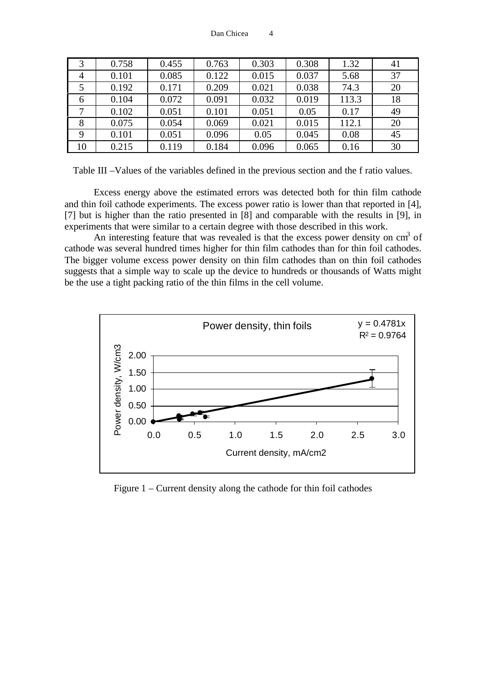| 3              | 0.758 | 0.455 | 0.763 | 0.303 | 0.308 | 1.32  | 41 |
|----------------|-------|-------|-------|-------|-------|-------|----|
| $\overline{4}$ | 0.101 | 0.085 | 0.122 | 0.015 | 0.037 | 5.68  | 37 |
| 5              | 0.192 | 0.171 | 0.209 | 0.021 | 0.038 | 74.3  | 20 |
| -6             | 0.104 | 0.072 | 0.091 | 0.032 | 0.019 | 113.3 | 18 |
| 7              | 0.102 | 0.051 | 0.101 | 0.051 | 0.05  | 0.17  | 49 |
| 8              | 0.075 | 0.054 | 0.069 | 0.021 | 0.015 | 112.1 | 20 |
| 9              | 0.101 | 0.051 | 0.096 | 0.05  | 0.045 | 0.08  | 45 |
| 10             | 0.215 | 0.119 | 0.184 | 0.096 | 0.065 | 0.16  | 30 |

Table III –Values of the variables defined in the previous section and the f ratio values.

Excess energy above the estimated errors was detected both for thin film cathode and thin foil cathode experiments. The excess power ratio is lower than that reported in [4], [7] but is higher than the ratio presented in [8] and comparable with the results in [9], in experiments that were similar to a certain degree with those described in this work.

An interesting feature that was revealed is that the excess power density on  $cm<sup>3</sup>$  of cathode was several hundred times higher for thin film cathodes than for thin foil cathodes. The bigger volume excess power density on thin film cathodes than on thin foil cathodes suggests that a simple way to scale up the device to hundreds or thousands of Watts might be the use a tight packing ratio of the thin films in the cell volume.



Figure 1 – Current density along the cathode for thin foil cathodes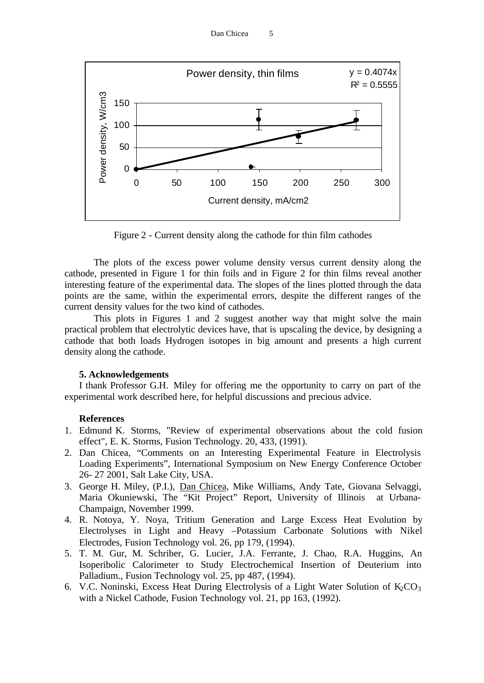

Figure 2 - Current density along the cathode for thin film cathodes

The plots of the excess power volume density versus current density along the cathode, presented in Figure 1 for thin foils and in Figure 2 for thin films reveal another interesting feature of the experimental data. The slopes of the lines plotted through the data points are the same, within the experimental errors, despite the different ranges of the current density values for the two kind of cathodes.

This plots in Figures 1 and 2 suggest another way that might solve the main practical problem that electrolytic devices have, that is upscaling the device, by designing a cathode that both loads Hydrogen isotopes in big amount and presents a high current density along the cathode.

### **5. Acknowledgements**

I thank Professor G.H. Miley for offering me the opportunity to carry on part of the experimental work described here, for helpful discussions and precious advice.

### **References**

- 1. Edmund K. Storms, "Review of experimental observations about the cold fusion effect", E. K. Storms, Fusion Technology. 20, 433, (1991).
- 2. Dan Chicea, "Comments on an Interesting Experimental Feature in Electrolysis Loading Experiments", International Symposium on New Energy Conference October 26- 27 2001, Salt Lake City, USA.
- 3. George H. Miley, (P.I.), Dan Chicea, Mike Williams, Andy Tate, Giovana Selvaggi, Maria Okuniewski, The "Kit Project" Report, University of Illinois at Urbana-Champaign, November 1999.
- 4. R. Notoya, Y. Noya, Tritium Generation and Large Excess Heat Evolution by Electrolyses in Light and Heavy –Potassium Carbonate Solutions with Nikel Electrodes, Fusion Technology vol. 26, pp 179, (1994).
- 5. T. M. Gur, M. Schriber, G. Lucier, J.A. Ferrante, J. Chao, R.A. Huggins, An Isoperibolic Calorimeter to Study Electrochemical Insertion of Deuterium into Palladium., Fusion Technology vol. 25, pp 487, (1994).
- 6. V.C. Noninski, Excess Heat During Electrolysis of a Light Water Solution of  $K_2CO_3$ with a Nickel Cathode, Fusion Technology vol. 21, pp 163, (1992).